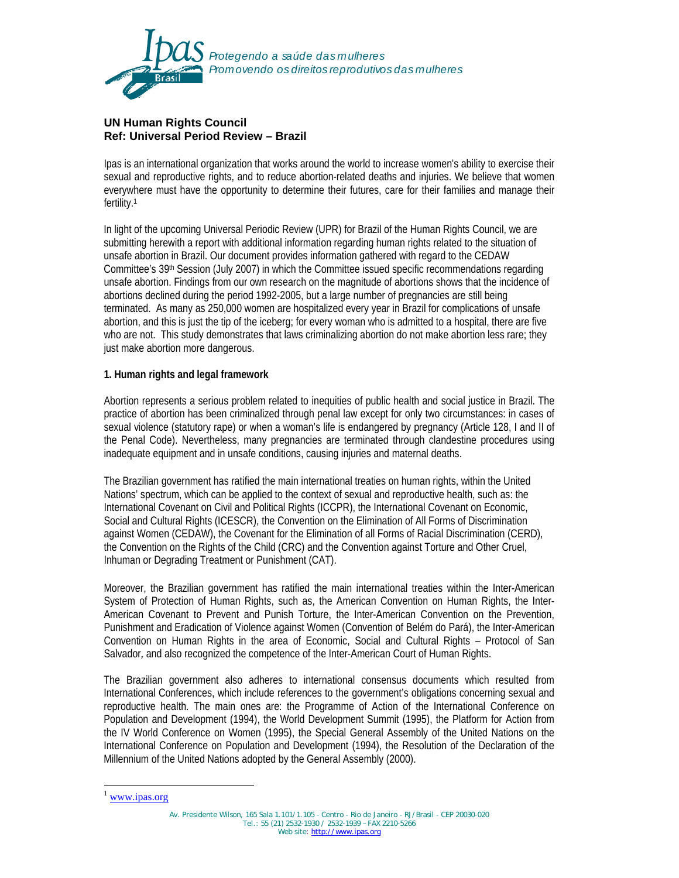

# **UN Human Rights Council Ref: Universal Period Review – Brazil**

Ipas is an international organization that works around the world to increase women's ability to exercise their sexual and reproductive rights, and to reduce abortion-related deaths and injuries. We believe that women everywhere must have the opportunity to determine their futures, care for their families and manage their fertility.1

In light of the upcoming Universal Periodic Review (UPR) for Brazil of the Human Rights Council, we are submitting herewith a report with additional information regarding human rights related to the situation of unsafe abortion in Brazil. Our document provides information gathered with regard to the CEDAW Committee's 39<sup>th</sup> Session (July 2007) in which the Committee issued specific recommendations regarding unsafe abortion. Findings from our own research on the magnitude of abortions shows that the incidence of abortions declined during the period 1992-2005, but a large number of pregnancies are still being terminated. As many as 250,000 women are hospitalized every year in Brazil for complications of unsafe abortion, and this is just the tip of the iceberg; for every woman who is admitted to a hospital, there are five who are not. This study demonstrates that laws criminalizing abortion do not make abortion less rare; they just make abortion more dangerous.

## **1. Human rights and legal framework**

Abortion represents a serious problem related to inequities of public health and social justice in Brazil. The practice of abortion has been criminalized through penal law except for only two circumstances: in cases of sexual violence (statutory rape) or when a woman's life is endangered by pregnancy (Article 128, I and II of the Penal Code). Nevertheless, many pregnancies are terminated through clandestine procedures using inadequate equipment and in unsafe conditions, causing injuries and maternal deaths.

The Brazilian government has ratified the main international treaties on human rights, within the United Nations' spectrum, which can be applied to the context of sexual and reproductive health, such as: the International Covenant on Civil and Political Rights (ICCPR), the International Covenant on Economic, Social and Cultural Rights (ICESCR), the Convention on the Elimination of All Forms of Discrimination against Women (CEDAW), the Covenant for the Elimination of all Forms of Racial Discrimination (CERD), the Convention on the Rights of the Child (CRC) and the Convention against Torture and Other Cruel, Inhuman or Degrading Treatment or Punishment (CAT).

Moreover, the Brazilian government has ratified the main international treaties within the Inter-American System of Protection of Human Rights, such as, the American Convention on Human Rights, the Inter-American Covenant to Prevent and Punish Torture, the Inter-American Convention on the Prevention, Punishment and Eradication of Violence against Women (Convention of Belém do Pará), the Inter-American Convention on Human Rights in the area of Economic, Social and Cultural Rights – Protocol of San Salvador*,* and also recognized the competence of the Inter-American Court of Human Rights.

The Brazilian government also adheres to international consensus documents which resulted from International Conferences, which include references to the government's obligations concerning sexual and reproductive health. The main ones are: the Programme of Action of the International Conference on Population and Development (1994), the World Development Summit (1995), the Platform for Action from the IV World Conference on Women (1995), the Special General Assembly of the United Nations on the International Conference on Population and Development (1994), the Resolution of the Declaration of the Millennium of the United Nations adopted by the General Assembly (2000).

-

www.ipas.org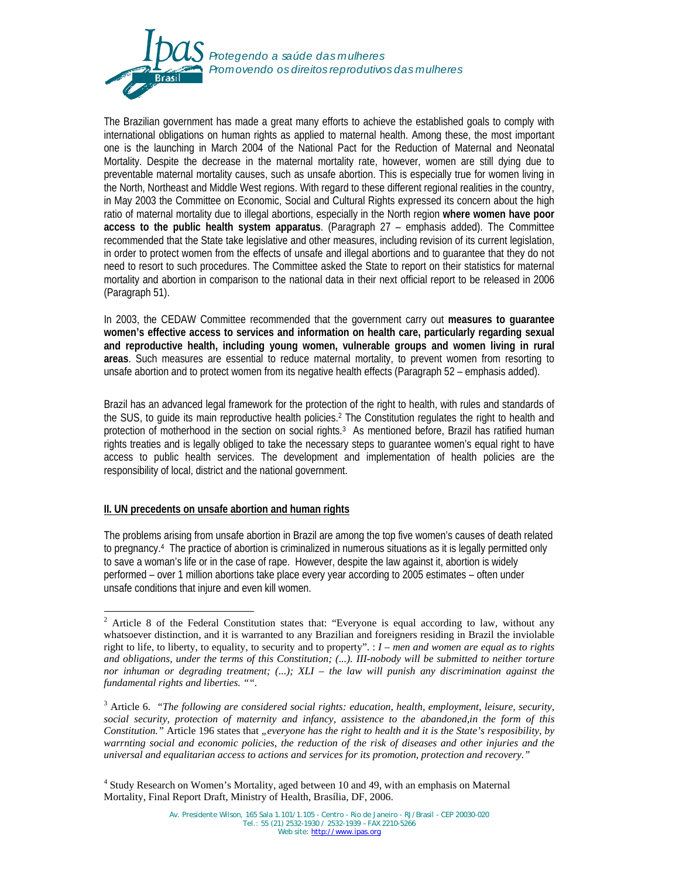

The Brazilian government has made a great many efforts to achieve the established goals to comply with international obligations on human rights as applied to maternal health. Among these, the most important one is the launching in March 2004 of the National Pact for the Reduction of Maternal and Neonatal Mortality. Despite the decrease in the maternal mortality rate, however, women are still dying due to preventable maternal mortality causes, such as unsafe abortion. This is especially true for women living in the North, Northeast and Middle West regions. With regard to these different regional realities in the country, in May 2003 the Committee on Economic, Social and Cultural Rights expressed its concern about the high ratio of maternal mortality due to illegal abortions, especially in the North region **where women have poor access to the public health system apparatus**. (Paragraph 27 – emphasis added). The Committee recommended that the State take legislative and other measures, including revision of its current legislation, in order to protect women from the effects of unsafe and illegal abortions and to guarantee that they do not need to resort to such procedures. The Committee asked the State to report on their statistics for maternal mortality and abortion in comparison to the national data in their next official report to be released in 2006 (Paragraph 51).

In 2003, the CEDAW Committee recommended that the government carry out **measures to guarantee women's effective access to services and information on health care, particularly regarding sexual and reproductive health, including young women, vulnerable groups and women living in rural areas**. Such measures are essential to reduce maternal mortality, to prevent women from resorting to unsafe abortion and to protect women from its negative health effects (Paragraph 52 – emphasis added).

Brazil has an advanced legal framework for the protection of the right to health, with rules and standards of the SUS, to guide its main reproductive health policies.2 The Constitution regulates the right to health and protection of motherhood in the section on social rights.3 As mentioned before, Brazil has ratified human rights treaties and is legally obliged to take the necessary steps to guarantee women's equal right to have access to public health services. The development and implementation of health policies are the responsibility of local, district and the national government.

### **II. UN precedents on unsafe abortion and human rights**

The problems arising from unsafe abortion in Brazil are among the top five women's causes of death related to pregnancy.4 The practice of abortion is criminalized in numerous situations as it is legally permitted only to save a woman's life or in the case of rape. However, despite the law against it, abortion is widely performed – over 1 million abortions take place every year according to 2005 estimates – often under unsafe conditions that injure and even kill women.

<sup>4</sup> Study Research on Women's Mortality, aged between 10 and 49, with an emphasis on Maternal Mortality, Final Report Draft, Ministry of Health, Brasília, DF, 2006.

<sup>&</sup>lt;sup>2</sup> Article 8 of the Federal Constitution states that: "Everyone is equal according to law, without any whatsoever distinction, and it is warranted to any Brazilian and foreigners residing in Brazil the inviolable right to life, to liberty, to equality, to security and to property". : *I – men and women are equal as to rights and obligations, under the terms of this Constitution; (...). III-nobody will be submitted to neither torture nor inhuman or degrading treatment; (...); XLI – the law will punish any discrimination against the fundamental rights and liberties. "".* 

<sup>3</sup> Article 6. *"The following are considered social rights: education, health, employment, leisure, security, social security, protection of maternity and infancy, assistence to the abandoned,in the form of this Constitution."* Article 196 states that *"everyone has the right to health and it is the State's resposibility, by warrnting social and economic policies, the reduction of the risk of diseases and other injuries and the universal and equalitarian access to actions and services for its promotion, protection and recovery."*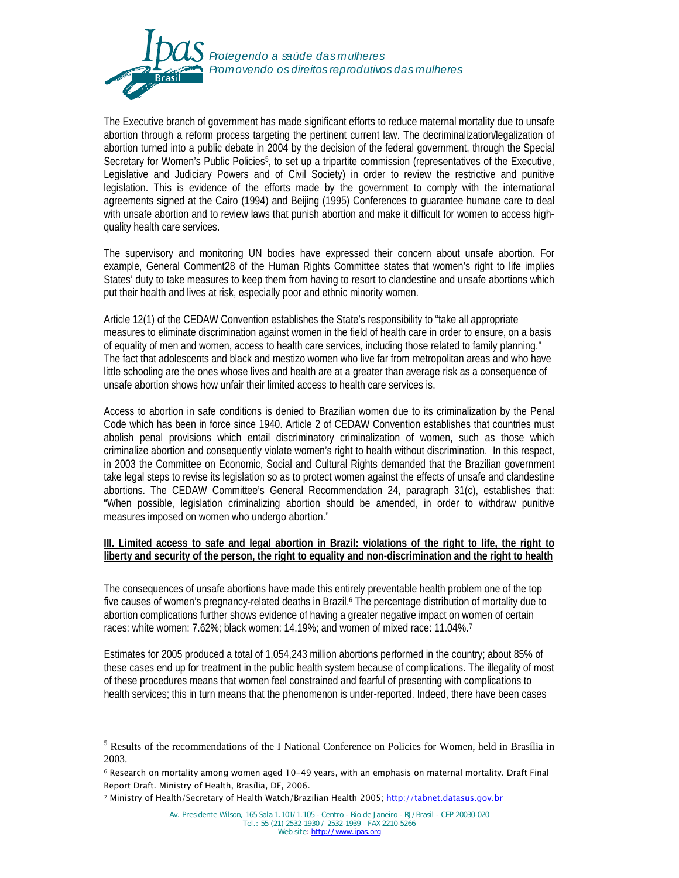

The Executive branch of government has made significant efforts to reduce maternal mortality due to unsafe abortion through a reform process targeting the pertinent current law. The decriminalization/legalization of abortion turned into a public debate in 2004 by the decision of the federal government, through the Special Secretary for Women's Public Policies5, to set up a tripartite commission (representatives of the Executive, Legislative and Judiciary Powers and of Civil Society) in order to review the restrictive and punitive legislation. This is evidence of the efforts made by the government to comply with the international agreements signed at the Cairo (1994) and Beijing (1995) Conferences to guarantee humane care to deal with unsafe abortion and to review laws that punish abortion and make it difficult for women to access highquality health care services.

The supervisory and monitoring UN bodies have expressed their concern about unsafe abortion. For example, General Comment28 of the Human Rights Committee states that women's right to life implies States' duty to take measures to keep them from having to resort to clandestine and unsafe abortions which put their health and lives at risk, especially poor and ethnic minority women.

Article 12(1) of the CEDAW Convention establishes the State's responsibility to "take all appropriate measures to eliminate discrimination against women in the field of health care in order to ensure, on a basis of equality of men and women, access to health care services, including those related to family planning." The fact that adolescents and black and mestizo women who live far from metropolitan areas and who have little schooling are the ones whose lives and health are at a greater than average risk as a consequence of unsafe abortion shows how unfair their limited access to health care services is.

Access to abortion in safe conditions is denied to Brazilian women due to its criminalization by the Penal Code which has been in force since 1940. Article 2 of CEDAW Convention establishes that countries must abolish penal provisions which entail discriminatory criminalization of women, such as those which criminalize abortion and consequently violate women's right to health without discrimination. In this respect, in 2003 the Committee on Economic, Social and Cultural Rights demanded that the Brazilian government take legal steps to revise its legislation so as to protect women against the effects of unsafe and clandestine abortions. The CEDAW Committee's General Recommendation 24, paragraph 31(c), establishes that: "When possible, legislation criminalizing abortion should be amended, in order to withdraw punitive measures imposed on women who undergo abortion."

### **III.** Limited access to safe and legal abortion in Brazil: violations of the right to life, the right to **liberty and security of the person, the right to equality and non-discrimination and the right to health**

The consequences of unsafe abortions have made this entirely preventable health problem one of the top five causes of women's pregnancy-related deaths in Brazil.<sup>6</sup> The percentage distribution of mortality due to abortion complications further shows evidence of having a greater negative impact on women of certain races: white women: 7.62%; black women: 14.19%; and women of mixed race: 11.04%.7

Estimates for 2005 produced a total of 1,054,243 million abortions performed in the country; about 85% of these cases end up for treatment in the public health system because of complications. The illegality of most of these procedures means that women feel constrained and fearful of presenting with complications to health services; this in turn means that the phenomenon is under-reported. Indeed, there have been cases

-

<sup>&</sup>lt;sup>5</sup> Results of the recommendations of the I National Conference on Policies for Women, held in Brasília in 2003.

<sup>6</sup> Research on mortality among women aged 10-49 years, with an emphasis on maternal mortality. Draft Final Report Draft. Ministry of Health, Brasília, DF, 2006.

<sup>7</sup> Ministry of Health/Secretary of Health Watch/Brazilian Health 2005; http://tabnet.datasus.gov.br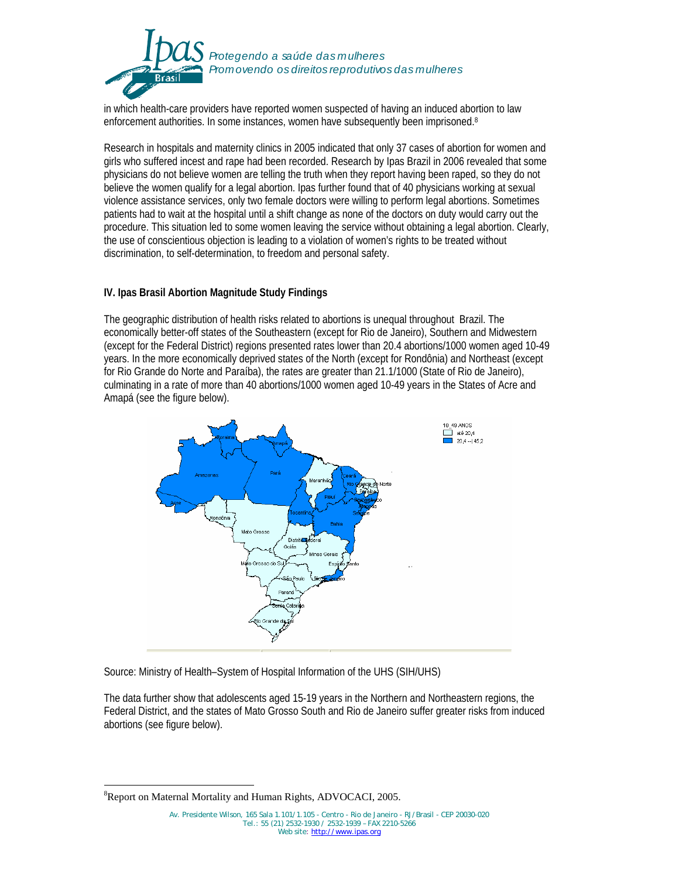

in which health-care providers have reported women suspected of having an induced abortion to law enforcement authorities. In some instances, women have subsequently been imprisoned.8

Research in hospitals and maternity clinics in 2005 indicated that only 37 cases of abortion for women and girls who suffered incest and rape had been recorded. Research by Ipas Brazil in 2006 revealed that some physicians do not believe women are telling the truth when they report having been raped, so they do not believe the women qualify for a legal abortion. Ipas further found that of 40 physicians working at sexual violence assistance services, only two female doctors were willing to perform legal abortions. Sometimes patients had to wait at the hospital until a shift change as none of the doctors on duty would carry out the procedure. This situation led to some women leaving the service without obtaining a legal abortion. Clearly, the use of conscientious objection is leading to a violation of women's rights to be treated without discrimination, to self-determination, to freedom and personal safety.

## **IV. Ipas Brasil Abortion Magnitude Study Findings**

The geographic distribution of health risks related to abortions is unequal throughout Brazil. The economically better-off states of the Southeastern (except for Rio de Janeiro), Southern and Midwestern (except for the Federal District) regions presented rates lower than 20.4 abortions/1000 women aged 10-49 years. In the more economically deprived states of the North (except for Rondônia) and Northeast (except for Rio Grande do Norte and Paraíba), the rates are greater than 21.1/1000 (State of Rio de Janeiro), culminating in a rate of more than 40 abortions/1000 women aged 10-49 years in the States of Acre and Amapá (see the figure below).



Source: Ministry of Health–System of Hospital Information of the UHS (SIH/UHS)

The data further show that adolescents aged 15-19 years in the Northern and Northeastern regions, the Federal District, and the states of Mato Grosso South and Rio de Janeiro suffer greater risks from induced abortions (see figure below).

<sup>-</sup><sup>8</sup>Report on Maternal Mortality and Human Rights, ADVOCACI, 2005.